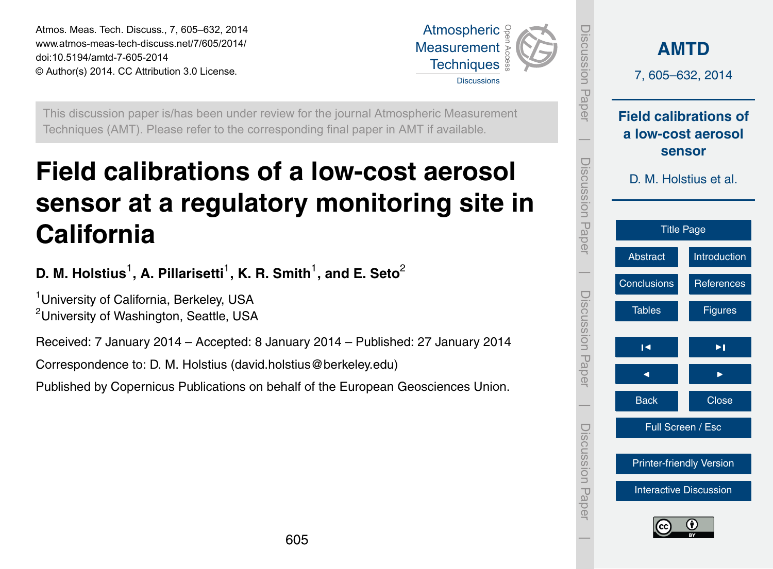<span id="page-0-0"></span>Atmos. Meas. Tech. Discuss., 7, 605–632, 2014 www.atmos-meas-tech-discuss.net/7/605/2014/ doi:10.5194/amtd-7-605-2014 © Author(s) 2014. CC Attribution 3.0 License.



Discussion Paper

Discussion Paper

 $\overline{\phantom{a}}$ 

Discussion Paper

iscussion<br>Paper

 $\overline{\phantom{a}}$ 

Discussion Paper

Discussion Paper

 $\overline{\phantom{a}}$ 

Discussion Paper

Discussion Paper

 $\overline{\phantom{a}}$ 

This discussion paper is/has been under review for the journal Atmospheric Measurement Techniques (AMT). Please refer to the corresponding final paper in AMT if available.

# **Field calibrations of a low-cost aerosol sensor at a regulatory monitoring site in California**

**D. M. Holstius** $^1$ **, A. Pillarisetti** $^1$ **, K. R. Smith** $^1$ **, and E. Seto** $^2$ 

<sup>1</sup> University of California, Berkeley, USA <sup>2</sup>University of Washington, Seattle, USA

Received: 7 January 2014 – Accepted: 8 January 2014 – Published: 27 January 2014

Correspondence to: D. M. Holstius (david.holstius@berkeley.edu)

Published by Copernicus Publications on behalf of the European Geosciences Union.

| <b>AMTD</b><br>7,605-632,2014   |                                                              |  |  |  |  |  |
|---------------------------------|--------------------------------------------------------------|--|--|--|--|--|
|                                 | <b>Field calibrations of</b><br>a low-cost aerosol<br>sensor |  |  |  |  |  |
|                                 | D. M. Holstius et al.                                        |  |  |  |  |  |
|                                 | <b>Title Page</b>                                            |  |  |  |  |  |
| <b>Abstract</b>                 | <b>Introduction</b>                                          |  |  |  |  |  |
| Conclusions                     | <b>References</b>                                            |  |  |  |  |  |
| <b>Tables</b>                   | <b>Figures</b>                                               |  |  |  |  |  |
| ы                               | ▶।                                                           |  |  |  |  |  |
| ⋖                               |                                                              |  |  |  |  |  |
| <b>Back</b>                     | <b>Close</b>                                                 |  |  |  |  |  |
|                                 | Full Screen / Esc                                            |  |  |  |  |  |
| <b>Printer-friendly Version</b> |                                                              |  |  |  |  |  |
| <b>Interactive Discussion</b>   |                                                              |  |  |  |  |  |
| $\bf{G}$<br>(c)                 |                                                              |  |  |  |  |  |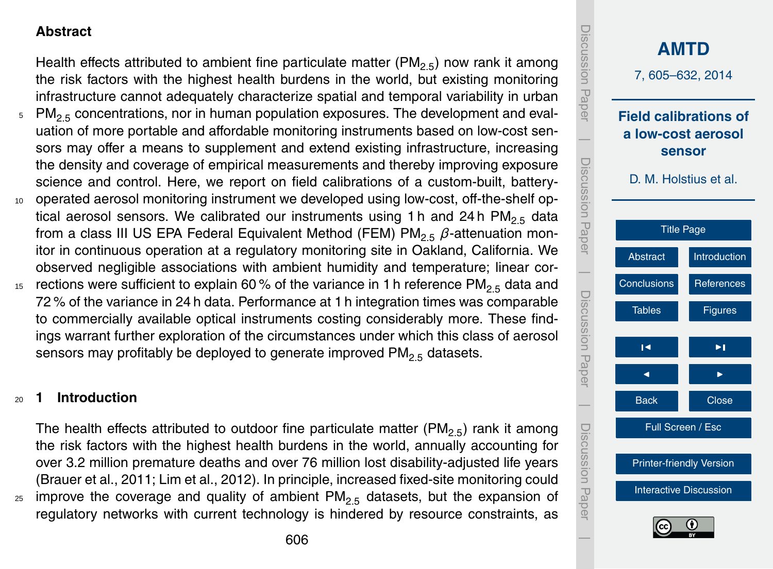## <span id="page-1-0"></span>**Abstract**

Health effects attributed to ambient fine particulate matter ( $PM_{2.5}$ ) now rank it among the risk factors with the highest health burdens in the world, but existing monitoring infrastructure cannot adequately characterize spatial and temporal variability in urban

- $5 \text{ PM}_{2.5}$  concentrations, nor in human population exposures. The development and evaluation of more portable and affordable monitoring instruments based on low-cost sensors may offer a means to supplement and extend existing infrastructure, increasing the density and coverage of empirical measurements and thereby improving exposure science and control. Here, we report on field calibrations of a custom-built, battery-
- <sup>10</sup> operated aerosol monitoring instrument we developed using low-cost, off-the-shelf optical aerosol sensors. We calibrated our instruments using 1 h and 24 h  $PM_{2.5}$  data from a class III US EPA Federal Equivalent Method (FEM) PM<sub>2.5</sub> β-attenuation monitor in continuous operation at a regulatory monitoring site in Oakland, California. We observed negligible associations with ambient humidity and temperature; linear cor-
- 15 rections were sufficient to explain 60 % of the variance in 1 h reference PM<sub>2.5</sub> data and 72 % of the variance in 24 h data. Performance at 1 h integration times was comparable to commercially available optical instruments costing considerably more. These findings warrant further exploration of the circumstances under which this class of aerosol sensors may profitably be deployed to generate improved  $PM_{2.5}$  datasets.

#### <sup>20</sup> **1 Introduction**

The health effects attributed to outdoor fine particulate matter ( $PM_{2.5}$ ) rank it among the risk factors with the highest health burdens in the world, annually accounting for over 3.2 million premature deaths and over 76 million lost disability-adjusted life years (Brauer et al., 2011; Lim et al., 2012). In principle, increased fixed-site monitoring could  $25$  improve the coverage and quality of ambient PM<sub>2.5</sub> datasets, but the expansion of regulatory networks with current technology is hindered by resource constraints, as

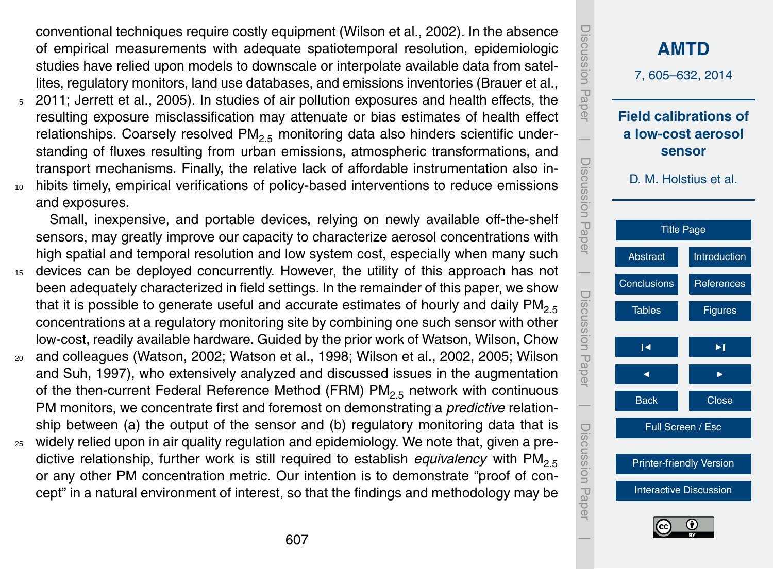conventional techniques require costly equipment (Wilson et al., 2002). In the absence of empirical measurements with adequate spatiotemporal resolution, epidemiologic studies have relied upon models to downscale or interpolate available data from satellites, regulatory monitors, land use databases, and emissions inventories (Brauer et al.,

<sup>5</sup> 2011; Jerrett et al., 2005). In studies of air pollution exposures and health effects, the resulting exposure misclassification may attenuate or bias estimates of health effect relationships. Coarsely resolved  $PM<sub>2.5</sub>$  monitoring data also hinders scientific understanding of fluxes resulting from urban emissions, atmospheric transformations, and transport mechanisms. Finally, the relative lack of affordable instrumentation also in-<sup>10</sup> hibits timely, empirical verifications of policy-based interventions to reduce emissions and exposures.

Small, inexpensive, and portable devices, relying on newly available off-the-shelf sensors, may greatly improve our capacity to characterize aerosol concentrations with high spatial and temporal resolution and low system cost, especially when many such

- <sup>15</sup> devices can be deployed concurrently. However, the utility of this approach has not been adequately characterized in field settings. In the remainder of this paper, we show that it is possible to generate useful and accurate estimates of hourly and daily  $PM_{2.5}$ concentrations at a regulatory monitoring site by combining one such sensor with other low-cost, readily available hardware. Guided by the prior work of Watson, Wilson, Chow
- <sup>20</sup> and colleagues (Watson, 2002; Watson et al., 1998; Wilson et al., 2002, 2005; Wilson and Suh, 1997), who extensively analyzed and discussed issues in the augmentation of the then-current Federal Reference Method (FRM)  $PM<sub>2.5</sub>$  network with continuous PM monitors, we concentrate first and foremost on demonstrating a *predictive* relationship between (a) the output of the sensor and (b) regulatory monitoring data that is
- $25$  widely relied upon in air quality regulation and epidemiology. We note that, given a predictive relationship, further work is still required to establish *equivalency* with PM2.5 or any other PM concentration metric. Our intention is to demonstrate "proof of concept" in a natural environment of interest, so that the findings and methodology may be

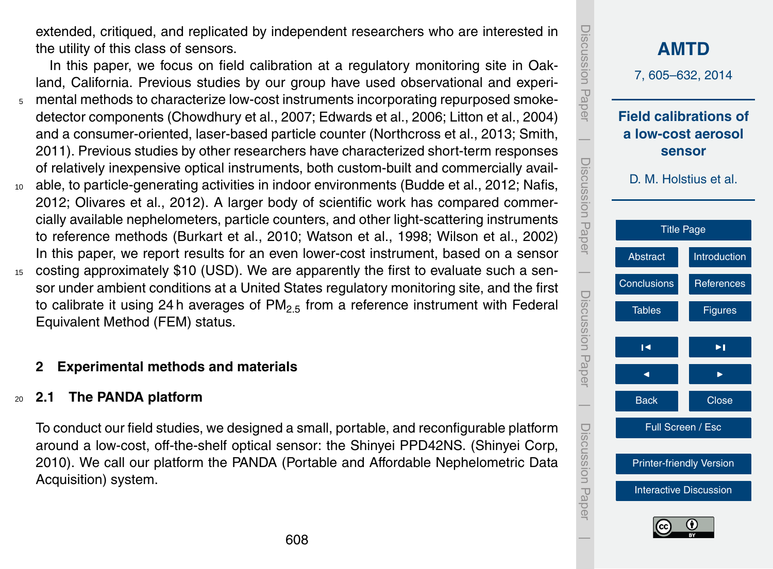extended, critiqued, and replicated by independent researchers who are interested in the utility of this class of sensors.

In this paper, we focus on field calibration at a regulatory monitoring site in Oakland, California. Previous studies by our group have used observational and experi-<sup>5</sup> mental methods to characterize low-cost instruments incorporating repurposed smokedetector components (Chowdhury et al., 2007; Edwards et al., 2006; Litton et al., 2004) and a consumer-oriented, laser-based particle counter (Northcross et al., 2013; Smith, 2011). Previous studies by other researchers have characterized short-term responses of relatively inexpensive optical instruments, both custom-built and commercially avail-

- <sup>10</sup> able, to particle-generating activities in indoor environments (Budde et al., 2012; Nafis, 2012; Olivares et al., 2012). A larger body of scientific work has compared commercially available nephelometers, particle counters, and other light-scattering instruments to reference methods (Burkart et al., 2010; Watson et al., 1998; Wilson et al., 2002) In this paper, we report results for an even lower-cost instrument, based on a sensor <sup>15</sup> costing approximately \$10 (USD). We are apparently the first to evaluate such a sen-
- sor under ambient conditions at a United States regulatory monitoring site, and the first to calibrate it using 24 h averages of  $PM_{2.5}$  from a reference instrument with Federal Equivalent Method (FEM) status.

# **2 Experimental methods and materials**

#### <sup>20</sup> **2.1 The PANDA platform**

To conduct our field studies, we designed a small, portable, and reconfigurable platform around a low-cost, off-the-shelf optical sensor: the Shinyei PPD42NS. (Shinyei Corp, 2010). We call our platform the PANDA (Portable and Affordable Nephelometric Data Acquisition) system.

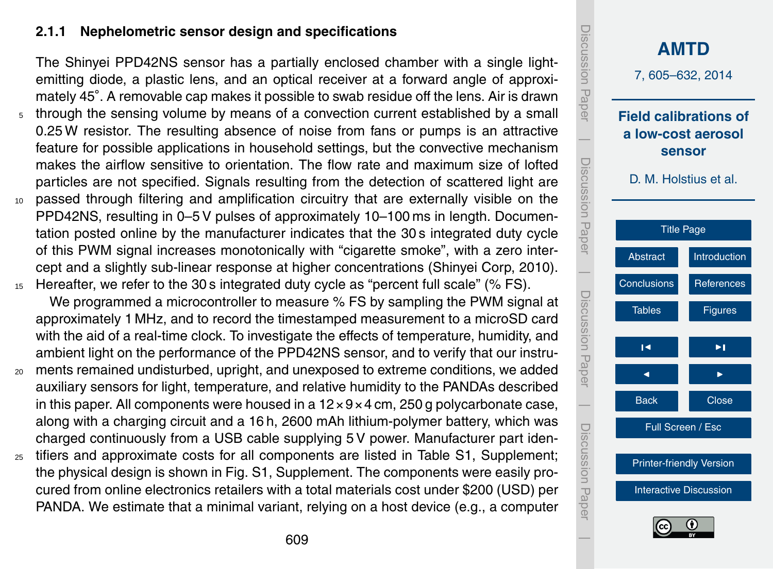## **2.1.1 Nephelometric sensor design and specifications**

The Shinyei PPD42NS sensor has a partially enclosed chamber with a single lightemitting diode, a plastic lens, and an optical receiver at a forward angle of approximately 45°. A removable cap makes it possible to swab residue off the lens. Air is drawn <sup>5</sup> through the sensing volume by means of a convection current established by a small 0.25 W resistor. The resulting absence of noise from fans or pumps is an attractive feature for possible applications in household settings, but the convective mechanism makes the airflow sensitive to orientation. The flow rate and maximum size of lofted particles are not specified. Signals resulting from the detection of scattered light are <sup>10</sup> passed through filtering and amplification circuitry that are externally visible on the PPD42NS, resulting in 0–5 V pulses of approximately 10–100 ms in length. Documentation posted online by the manufacturer indicates that the 30 s integrated duty cycle of this PWM signal increases monotonically with "cigarette smoke", with a zero intercept and a slightly sub-linear response at higher concentrations (Shinyei Corp, 2010).

- 15 Hereafter, we refer to the 30 s integrated duty cycle as "percent full scale" (% FS). We programmed a microcontroller to measure % FS by sampling the PWM signal at approximately 1 MHz, and to record the timestamped measurement to a microSD card with the aid of a real-time clock. To investigate the effects of temperature, humidity, and ambient light on the performance of the PPD42NS sensor, and to verify that our instru-
- <sup>20</sup> ments remained undisturbed, upright, and unexposed to extreme conditions, we added auxiliary sensors for light, temperature, and relative humidity to the PANDAs described in this paper. All components were housed in a  $12 \times 9 \times 4$  cm, 250 g polycarbonate case, along with a charging circuit and a 16 h, 2600 mAh lithium-polymer battery, which was charged continuously from a USB cable supplying 5 V power. Manufacturer part iden-
- <sup>25</sup> tifiers and approximate costs for all components are listed in Table S1, Supplement; the physical design is shown in Fig. S1, Supplement. The components were easily procured from online electronics retailers with a total materials cost under \$200 (USD) per PANDA. We estimate that a minimal variant, relying on a host device (e.g., a computer

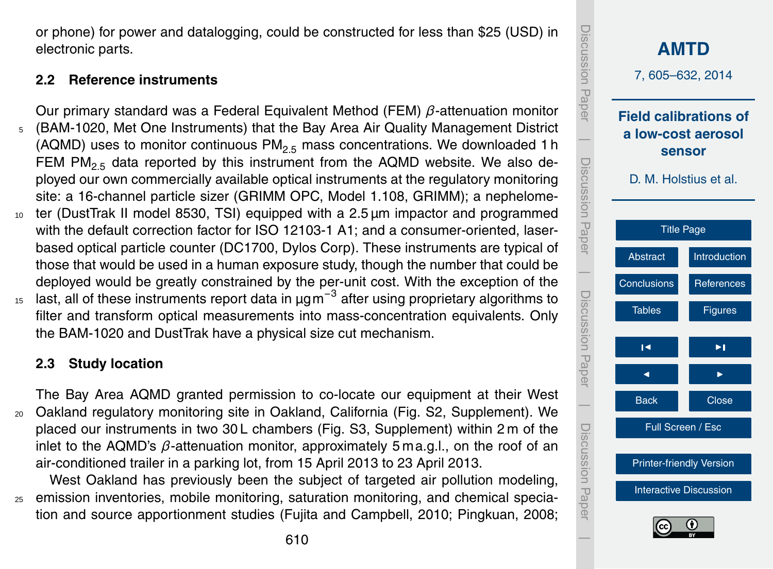610

or phone) for power and datalogging, could be constructed for less than \$25 (USD) in electronic parts.

# **2.2 Reference instruments**

Our primary standard was a Federal Equivalent Method (FEM) *β*-attenuation monitor <sup>5</sup> (BAM-1020, Met One Instruments) that the Bay Area Air Quality Management District (AQMD) uses to monitor continuous  $PM<sub>2.5</sub>$  mass concentrations. We downloaded 1 h FEM  $PM_{2.5}$  data reported by this instrument from the AQMD website. We also deployed our own commercially available optical instruments at the regulatory monitoring site: a 16-channel particle sizer (GRIMM OPC, Model 1.108, GRIMM); a nephelome-<sup>10</sup> ter (DustTrak II model 8530, TSI) equipped with a 2.5 µm impactor and programmed with the default correction factor for ISO 12103-1 A1; and a consumer-oriented, laserbased optical particle counter (DC1700, Dylos Corp). These instruments are typical of those that would be used in a human exposure study, though the number that could be

deployed would be greatly constrained by the per-unit cost. With the exception of the <sup>15</sup> last, all of these instruments report data in µgm<sup>-3</sup> after using proprietary algorithms to filter and transform optical measurements into mass-concentration equivalents. Only the BAM-1020 and DustTrak have a physical size cut mechanism.

# **2.3 Study location**

The Bay Area AQMD granted permission to co-locate our equipment at their West <sup>20</sup> Oakland regulatory monitoring site in Oakland, California (Fig. S2, Supplement). We placed our instruments in two 30 L chambers (Fig. S3, Supplement) within 2 m of the inlet to the AQMD's *β*-attenuation monitor, approximately 5 ma.g.l., on the roof of an air-conditioned trailer in a parking lot, from 15 April 2013 to 23 April 2013.

West Oakland has previously been the subject of targeted air pollution modeling, <sup>25</sup> emission inventories, mobile monitoring, saturation monitoring, and chemical speciation and source apportionment studies (Fujita and Campbell, 2010; Pingkuan, 2008;

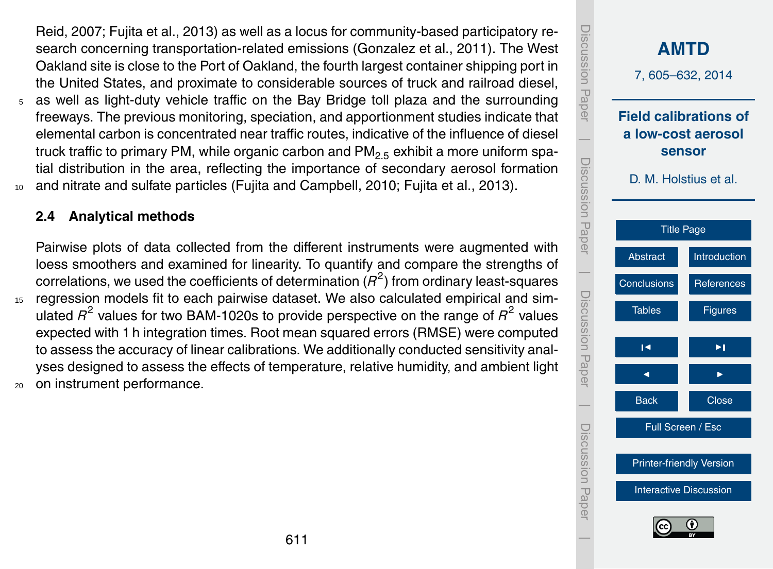Reid, 2007; Fujita et al., 2013) as well as a locus for community-based participatory research concerning transportation-related emissions (Gonzalez et al., 2011). The West Oakland site is close to the Port of Oakland, the fourth largest container shipping port in the United States, and proximate to considerable sources of truck and railroad diesel,

<sup>5</sup> as well as light-duty vehicle traffic on the Bay Bridge toll plaza and the surrounding freeways. The previous monitoring, speciation, and apportionment studies indicate that elemental carbon is concentrated near traffic routes, indicative of the influence of diesel truck traffic to primary PM, while organic carbon and PM<sub>2.5</sub> exhibit a more uniform spatial distribution in the area, reflecting the importance of secondary aerosol formation <sup>10</sup> and nitrate and sulfate particles (Fujita and Campbell, 2010; Fujita et al., 2013).

## **2.4 Analytical methods**

Pairwise plots of data collected from the different instruments were augmented with loess smoothers and examined for linearity. To quantify and compare the strengths of correlations, we used the coefficients of determination  $(R^2)$  from ordinary least-squares <sup>15</sup> regression models fit to each pairwise dataset. We also calculated empirical and simulated  $R^2$  values for two BAM-1020s to provide perspective on the range of  $R^2$  values

expected with 1 h integration times. Root mean squared errors (RMSE) were computed to assess the accuracy of linear calibrations. We additionally conducted sensitivity analyses designed to assess the effects of temperature, relative humidity, and ambient light <sup>20</sup> on instrument performance.

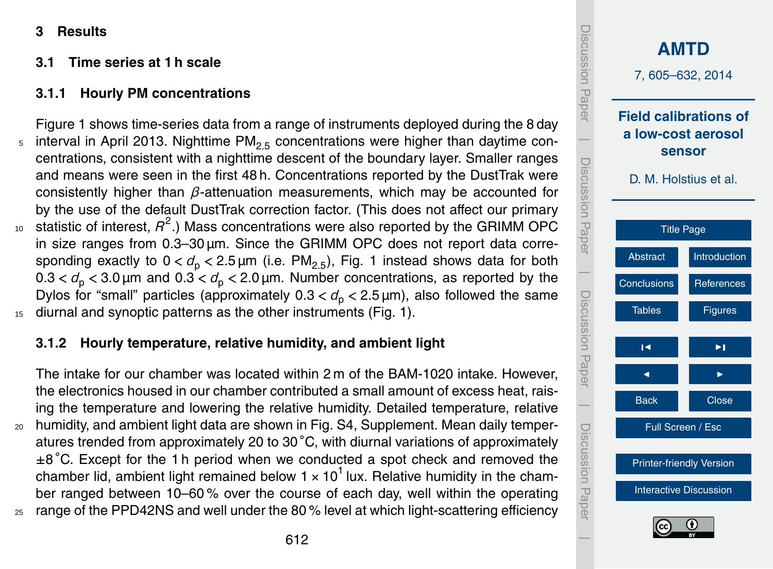**3 Results**

## **3.1 Time series at 1 h scale**

# **3.1.1 Hourly PM concentrations**

Figure 1 shows time-series data from a range of instruments deployed during the 8 day interval in April 2013. Nighttime  $PM_{2.5}$  concentrations were higher than daytime concentrations, consistent with a nighttime descent of the boundary layer. Smaller ranges and means were seen in the first 48 h. Concentrations reported by the DustTrak were consistently higher than *β*-attenuation measurements, which may be accounted for by the use of the default DustTrak correction factor. (This does not affect our primary <sup>10</sup> statistic of interest,  $R^2$ .) Mass concentrations were also reported by the GRIMM OPC in size ranges from 0.3–30 µm. Since the GRIMM OPC does not report data corresponding exactly to  $0 < d_0 < 2.5 \,\text{\mu m}$  (i.e. PM<sub>2.5</sub>), Fig. 1 instead shows data for both  $0.3 < d<sub>p</sub> < 3.0 \mu$ m and  $0.3 < d<sub>p</sub> < 2.0 \mu$ m. Number concentrations, as reported by the Dylos for "small" particles (approximately  $0.3 < d<sub>p</sub> < 2.5 \,\mu$ m), also followed the same 15 diurnal and synoptic patterns as the other instruments (Fig. 1).

# **3.1.2 Hourly temperature, relative humidity, and ambient light**

The intake for our chamber was located within 2 m of the BAM-1020 intake. However, the electronics housed in our chamber contributed a small amount of excess heat, raising the temperature and lowering the relative humidity. Detailed temperature, relative <sup>20</sup> humidity, and ambient light data are shown in Fig. S4, Supplement. Mean daily temperatures trended from approximately 20 to 30 ◦C, with diurnal variations of approximately ±8 ◦C. Except for the 1 h period when we conducted a spot check and removed the chamber lid, ambient light remained below  $1 \times 10^1$  lux. Relative humidity in the chamber ranged between 10–60 % over the course of each day, well within the operating <sup>25</sup> range of the PPD42NS and well under the 80 % level at which light-scattering efficiency

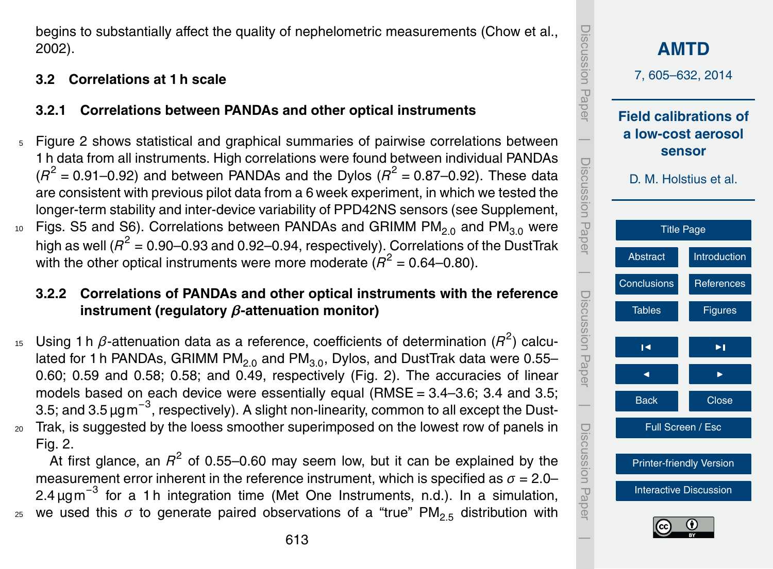begins to substantially affect the quality of nephelometric measurements (Chow et al., 2002).

# **3.2 Correlations at 1 h scale**

# **3.2.1 Correlations between PANDAs and other optical instruments**

<sup>5</sup> Figure 2 shows statistical and graphical summaries of pairwise correlations between 1 h data from all instruments. High correlations were found between individual PANDAs  $(R^2 = 0.91 - 0.92)$  and between PANDAs and the Dylos  $(R^2 = 0.87 - 0.92)$ . These data are consistent with previous pilot data from a 6 week experiment, in which we tested the longer-term stability and inter-device variability of PPD42NS sensors (see Supplement, <sup>10</sup> Figs. S5 and S6). Correlations between PANDAs and GRIMM  $PM_{2.0}$  and  $PM_{3.0}$  were high as well ( $R^2$  = 0.90–0.93 and 0.92–0.94, respectively). Correlations of the DustTrak with the other optical instruments were more moderate  $(R^2 = 0.64 - 0.80)$ .

# **3.2.2 Correlations of PANDAs and other optical instruments with the reference instrument (regulatory** *β***-attenuation monitor)**

15 Using 1 h *β*-attenuation data as a reference, coefficients of determination (*R*<sup>2</sup>) calculated for 1 h PANDAs, GRIMM  $PM_{2.0}$  and  $PM_{3.0}$ , Dylos, and DustTrak data were 0.55– 0.60; 0.59 and 0.58; 0.58; and 0.49, respectively (Fig. 2). The accuracies of linear models based on each device were essentially equal (RMSE =  $3.4-3.6$ ;  $3.4$  and  $3.5$ ; 3.5; and 3.5 µgm $^{-3}$ , respectively). A slight non-linearity, common to all except the Dust-<sup>20</sup> Trak, is suggested by the loess smoother superimposed on the lowest row of panels in

Fig. 2.

At first glance, an  $R^2$  of 0.55–0.60 may seem low, but it can be explained by the measurement error inherent in the reference instrument, which is specified as  $\sigma = 2.0-$ 2.4 µgm<sup>-3</sup> for a 1 h integration time (Met One Instruments, n.d.). In a simulation, we used this  $\sigma$  to generate paired observations of a "true" PM<sub>2.5</sub> distribution with

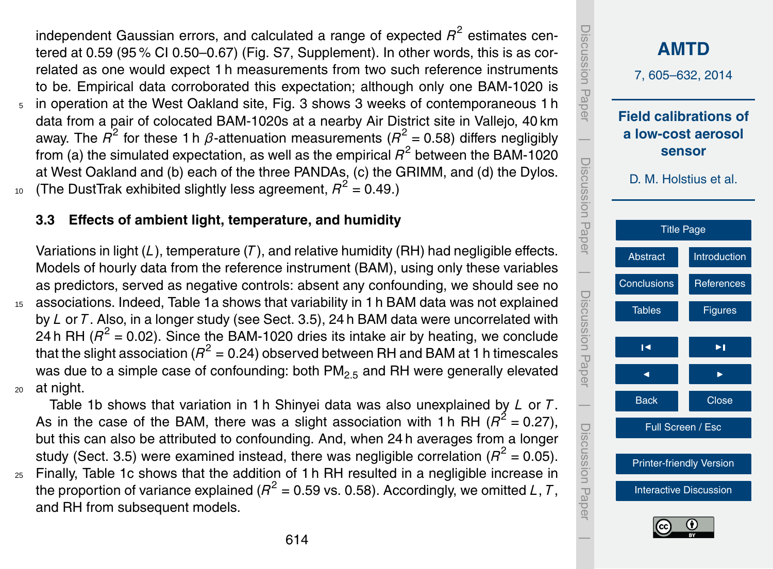independent Gaussian errors, and calculated a range of expected  $R^2$  estimates centered at 0.59 (95 % CI 0.50–0.67) (Fig. S7, Supplement). In other words, this is as correlated as one would expect 1 h measurements from two such reference instruments to be. Empirical data corroborated this expectation; although only one BAM-1020 is <sup>5</sup> in operation at the West Oakland site, Fig. 3 shows 3 weeks of contemporaneous 1 h data from a pair of colocated BAM-1020s at a nearby Air District site in Vallejo, 40 km away. The  $R^2$  for these 1 h  $\beta$ -attenuation measurements ( $R^2$  = 0.58) differs negligibly from (a) the simulated expectation, as well as the empirical  $\overline{R}^2$  between the BAM-1020 at West Oakland and (b) each of the three PANDAs, (c) the GRIMM, and (d) the Dylos.

10 (The DustTrak exhibited slightly less agreement,  $R^2$  = 0.49.)

#### **3.3 Effects of ambient light, temperature, and humidity**

Variations in light (*L*), temperature (*T* ), and relative humidity (RH) had negligible effects. Models of hourly data from the reference instrument (BAM), using only these variables as predictors, served as negative controls: absent any confounding, we should see no <sup>15</sup> associations. Indeed, Table 1a shows that variability in 1 h BAM data was not explained by *L* or *T* . Also, in a longer study (see Sect. 3.5), 24 h BAM data were uncorrelated with 24 h RH  $(R^2 = 0.02)$ . Since the BAM-1020 dries its intake air by heating, we conclude that the slight association ( $R^2$  = 0.24) observed between RH and BAM at 1 h timescales was due to a simple case of confounding: both  $PM_{2.5}$  and RH were generally elevated <sup>20</sup> at night.

Table 1b shows that variation in 1 h Shinyei data was also unexplained by *L* or *T* . As in the case of the BAM, there was a slight association with 1 h RH ( $R^2$  = 0.27), but this can also be attributed to confounding. And, when 24 h averages from a longer study (Sect. 3.5) were examined instead, there was negligible correlation ( $R^2$  = 0.05).

<sup>25</sup> Finally, Table 1c shows that the addition of 1 h RH resulted in a negligible increase in the proportion of variance explained ( $R^2$  = 0.59 vs. 0.58). Accordingly, we omitted *L*, *T*, and RH from subsequent models.

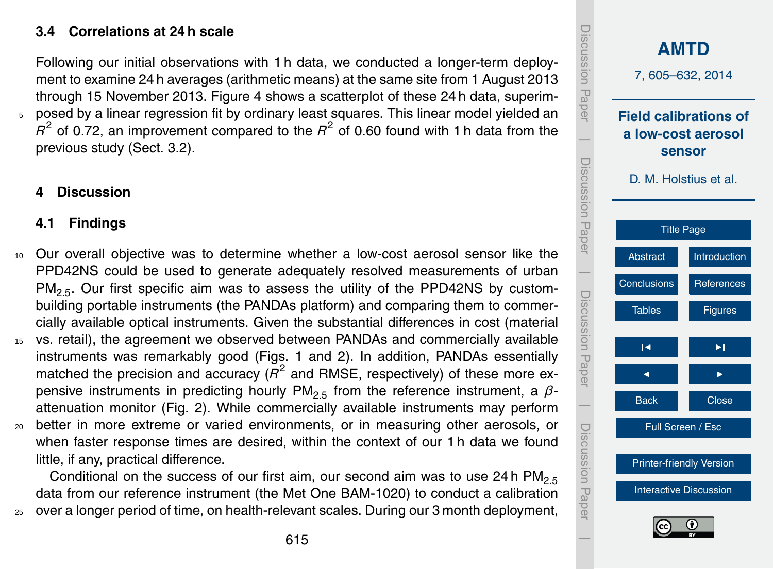## **3.4 Correlations at 24 h scale**

Following our initial observations with 1 h data, we conducted a longer-term deployment to examine 24 h averages (arithmetic means) at the same site from 1 August 2013 through 15 November 2013. Figure 4 shows a scatterplot of these 24 h data, superim-<sup>5</sup> posed by a linear regression fit by ordinary least squares. This linear model yielded an  $R^2$  of 0.72, an improvement compared to the  $R^2$  of 0.60 found with 1 h data from the previous study (Sect. 3.2).

## **4 Discussion**

#### **4.1 Findings**

- <sup>10</sup> Our overall objective was to determine whether a low-cost aerosol sensor like the PPD42NS could be used to generate adequately resolved measurements of urban  $PM<sub>2.5</sub>$ . Our first specific aim was to assess the utility of the PPD42NS by custombuilding portable instruments (the PANDAs platform) and comparing them to commercially available optical instruments. Given the substantial differences in cost (material
- <sup>15</sup> vs. retail), the agreement we observed between PANDAs and commercially available instruments was remarkably good (Figs. 1 and 2). In addition, PANDAs essentially matched the precision and accuracy (*R* 2 and RMSE, respectively) of these more expensive instruments in predicting hourly PM<sub>2.5</sub> from the reference instrument, a βattenuation monitor (Fig. 2). While commercially available instruments may perform <sup>20</sup> better in more extreme or varied environments, or in measuring other aerosols, or

when faster response times are desired, within the context of our 1 h data we found little, if any, practical difference.

Conditional on the success of our first aim, our second aim was to use 24 h  $PM_{2.5}$ data from our reference instrument (the Met One BAM-1020) to conduct a calibration <sup>25</sup> over a longer period of time, on health-relevant scales. During our 3 month deployment,

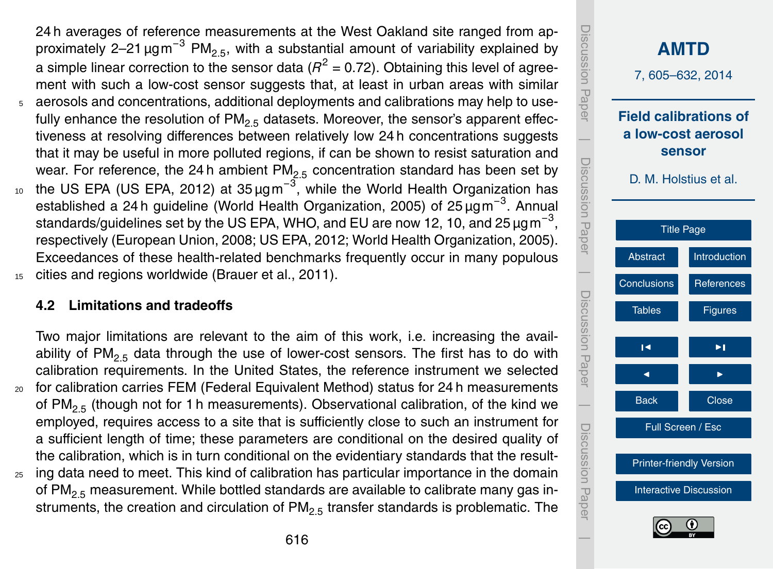24 h averages of reference measurements at the West Oakland site ranged from approximately 2–21  $\mu$ gm<sup>-3</sup> PM<sub>2.5</sub>, with a substantial amount of variability explained by a simple linear correction to the sensor data ( $R^2$  = 0.72). Obtaining this level of agreement with such a low-cost sensor suggests that, at least in urban areas with similar aerosols and concentrations, additional deployments and calibrations may help to usefully enhance the resolution of  $PM_{2.5}$  datasets. Moreover, the sensor's apparent effectiveness at resolving differences between relatively low 24 h concentrations suggests that it may be useful in more polluted regions, if can be shown to resist saturation and wear. For reference, the 24 h ambient  $PM<sub>2.5</sub>$  concentration standard has been set by 10 the US EPA (US EPA, 2012) at 35 μgm<sup>-3</sup>, while the World Health Organization has established a 24 h guideline (World Health Organization, 2005) of 25 µgm<sup>-3</sup>. Annual standards/guidelines set by the US EPA, WHO, and EU are now 12, 10, and 25  $\mu$ gm<sup>-3</sup>, respectively (European Union, 2008; US EPA, 2012; World Health Organization, 2005).

Exceedances of these health-related benchmarks frequently occur in many populous

15 cities and regions worldwide (Brauer et al., 2011).

## **4.2 Limitations and tradeoffs**

Two major limitations are relevant to the aim of this work, i.e. increasing the availability of PM<sub>2.5</sub> data through the use of lower-cost sensors. The first has to do with calibration requirements. In the United States, the reference instrument we selected <sup>20</sup> for calibration carries FEM (Federal Equivalent Method) status for 24 h measurements of PM<sub>2.5</sub> (though not for 1 h measurements). Observational calibration, of the kind we employed, requires access to a site that is sufficiently close to such an instrument for a sufficient length of time; these parameters are conditional on the desired quality of the calibration, which is in turn conditional on the evidentiary standards that the result-

<sup>25</sup> ing data need to meet. This kind of calibration has particular importance in the domain of  $PM<sub>2.5</sub>$  measurement. While bottled standards are available to calibrate many gas instruments, the creation and circulation of  $PM<sub>2.5</sub>$  transfer standards is problematic. The

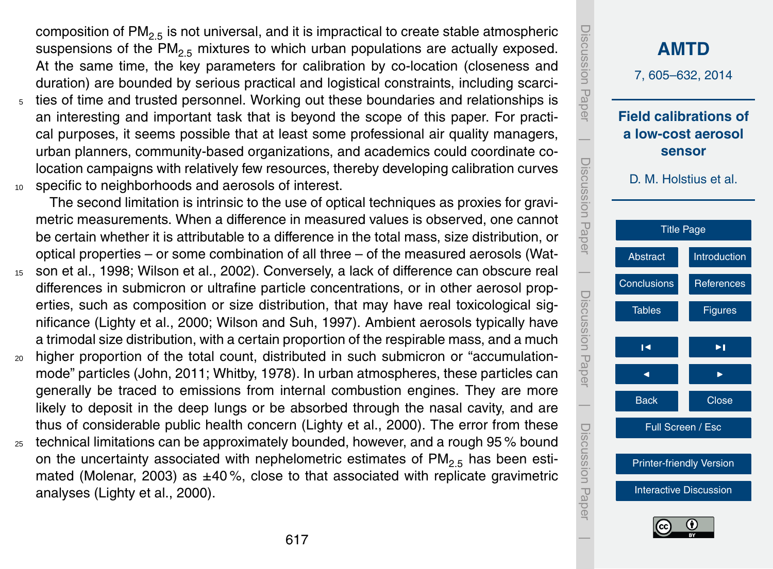composition of  $PM<sub>2.5</sub>$  is not universal, and it is impractical to create stable atmospheric suspensions of the PM<sub>2.5</sub> mixtures to which urban populations are actually exposed. At the same time, the key parameters for calibration by co-location (closeness and duration) are bounded by serious practical and logistical constraints, including scarci-

<sup>5</sup> ties of time and trusted personnel. Working out these boundaries and relationships is an interesting and important task that is beyond the scope of this paper. For practical purposes, it seems possible that at least some professional air quality managers, urban planners, community-based organizations, and academics could coordinate colocation campaigns with relatively few resources, thereby developing calibration curves <sup>10</sup> specific to neighborhoods and aerosols of interest.

The second limitation is intrinsic to the use of optical techniques as proxies for gravimetric measurements. When a difference in measured values is observed, one cannot be certain whether it is attributable to a difference in the total mass, size distribution, or optical properties – or some combination of all three – of the measured aerosols (Wat-

- <sup>15</sup> son et al., 1998; Wilson et al., 2002). Conversely, a lack of difference can obscure real differences in submicron or ultrafine particle concentrations, or in other aerosol properties, such as composition or size distribution, that may have real toxicological significance (Lighty et al., 2000; Wilson and Suh, 1997). Ambient aerosols typically have a trimodal size distribution, with a certain proportion of the respirable mass, and a much
- <sup>20</sup> higher proportion of the total count, distributed in such submicron or "accumulationmode" particles (John, 2011; Whitby, 1978). In urban atmospheres, these particles can generally be traced to emissions from internal combustion engines. They are more likely to deposit in the deep lungs or be absorbed through the nasal cavity, and are thus of considerable public health concern (Lighty et al., 2000). The error from these
- $25$  technical limitations can be approximately bounded, however, and a rough 95 % bound on the uncertainty associated with nephelometric estimates of  $PM_{2.5}$  has been estimated (Molenar, 2003) as  $\pm 40$ %, close to that associated with replicate gravimetric analyses (Lighty et al., 2000).

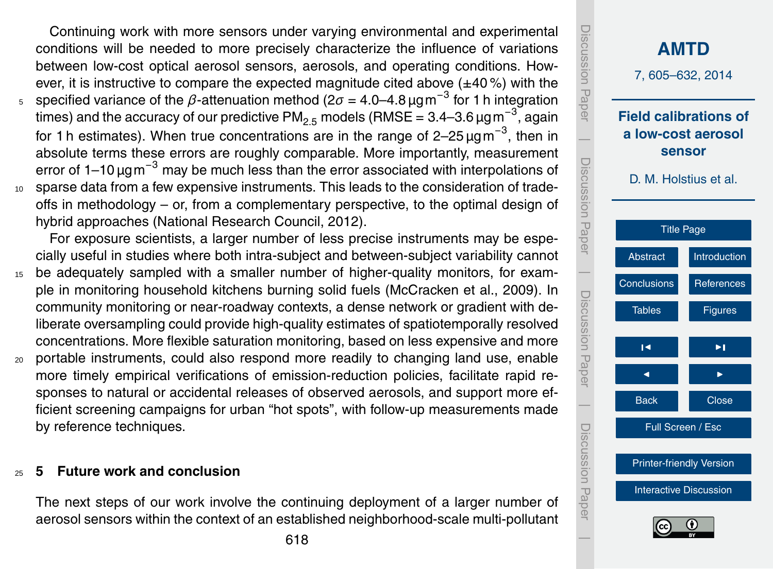<span id="page-13-0"></span>Continuing work with more sensors under varying environmental and experimental conditions will be needed to more precisely characterize the influence of variations between low-cost optical aerosol sensors, aerosols, and operating conditions. However, it is instructive to compare the expected magnitude cited above  $(\pm 40\%)$  with the  $5<sub>5</sub>$  specified variance of the *β*-attenuation method (2 $σ = 4.0$ –4.8 μgm<sup>-3</sup> for 1 h integration times) and the accuracy of our predictive PM<sub>2.5</sub> models (RMSE = 3.4–3.6 µg m<sup>−3</sup>, again for 1 h estimates). When true concentrations are in the range of 2–25  $\mu$ gm<sup>−3</sup>, then in absolute terms these errors are roughly comparable. More importantly, measurement error of 1–10 µgm<sup>-3</sup> may be much less than the error associated with interpolations of <sup>10</sup> sparse data from a few expensive instruments. This leads to the consideration of trade-

offs in methodology – or, from a complementary perspective, to the optimal design of hybrid approaches (National Research Council, 2012).

For exposure scientists, a larger number of less precise instruments may be especially useful in studies where both intra-subject and between-subject variability cannot

- <sup>15</sup> be adequately sampled with a smaller number of higher-quality monitors, for example in monitoring household kitchens burning solid fuels (McCracken et al., 2009). In community monitoring or near-roadway contexts, a dense network or gradient with deliberate oversampling could provide high-quality estimates of spatiotemporally resolved concentrations. More flexible saturation monitoring, based on less expensive and more
- <sup>20</sup> portable instruments, could also respond more readily to changing land use, enable more timely empirical verifications of emission-reduction policies, facilitate rapid responses to natural or accidental releases of observed aerosols, and support more efficient screening campaigns for urban "hot spots", with follow-up measurements made by reference techniques.

#### <sup>25</sup> **5 Future work and conclusion**

The next steps of our work involve the continuing deployment of a larger number of aerosol sensors within the context of an established neighborhood-scale multi-pollutant

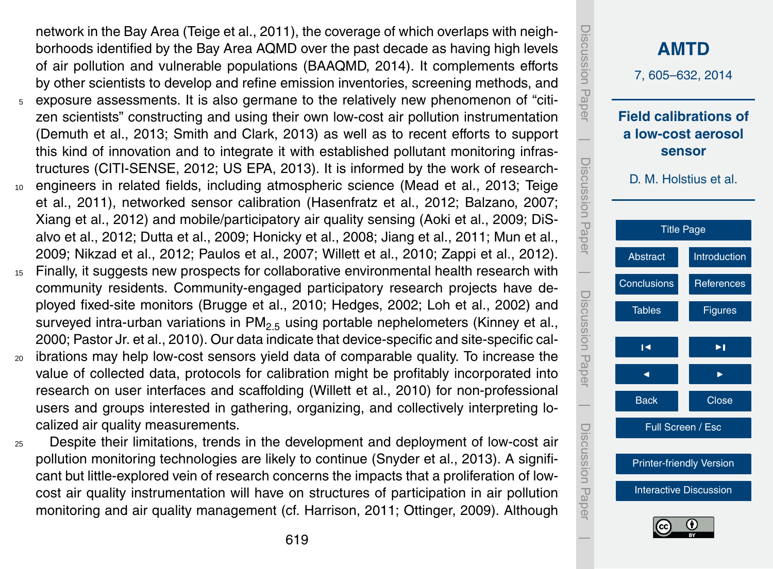network in the Bay Area (Teige et al., 2011), the coverage of which overlaps with neighborhoods identified by the Bay Area AQMD over the past decade as having high levels of air pollution and vulnerable populations (BAAQMD, 2014). It complements efforts by other scientists to develop and refine emission inventories, screening methods, and

- <sup>5</sup> exposure assessments. It is also germane to the relatively new phenomenon of "citizen scientists" constructing and using their own low-cost air pollution instrumentation (Demuth et al., 2013; Smith and Clark, 2013) as well as to recent efforts to support this kind of innovation and to integrate it with established pollutant monitoring infrastructures (CITI-SENSE, 2012; US EPA, 2013). It is informed by the work of research-
- <sup>10</sup> engineers in related fields, including atmospheric science (Mead et al., 2013; Teige et al., 2011), networked sensor calibration (Hasenfratz et al., 2012; Balzano, 2007; Xiang et al., 2012) and mobile/participatory air quality sensing (Aoki et al., 2009; DiSalvo et al., 2012; Dutta et al., 2009; Honicky et al., 2008; Jiang et al., 2011; Mun et al., 2009; Nikzad et al., 2012; Paulos et al., 2007; Willett et al., 2010; Zappi et al., 2012).
- <sup>15</sup> Finally, it suggests new prospects for collaborative environmental health research with community residents. Community-engaged participatory research projects have deployed fixed-site monitors (Brugge et al., 2010; Hedges, 2002; Loh et al., 2002) and surveyed intra-urban variations in  $PM_{2.5}$  using portable nephelometers (Kinney et al., 2000; Pastor Jr. et al., 2010). Our data indicate that device-specific and site-specific cal-
- <sup>20</sup> ibrations may help low-cost sensors yield data of comparable quality. To increase the value of collected data, protocols for calibration might be profitably incorporated into research on user interfaces and scaffolding (Willett et al., 2010) for non-professional users and groups interested in gathering, organizing, and collectively interpreting localized air quality measurements.
- <sup>25</sup> Despite their limitations, trends in the development and deployment of low-cost air pollution monitoring technologies are likely to continue (Snyder et al., 2013). A significant but little-explored vein of research concerns the impacts that a proliferation of lowcost air quality instrumentation will have on structures of participation in air pollution monitoring and air quality management (cf. Harrison, 2011; Ottinger, 2009). Although

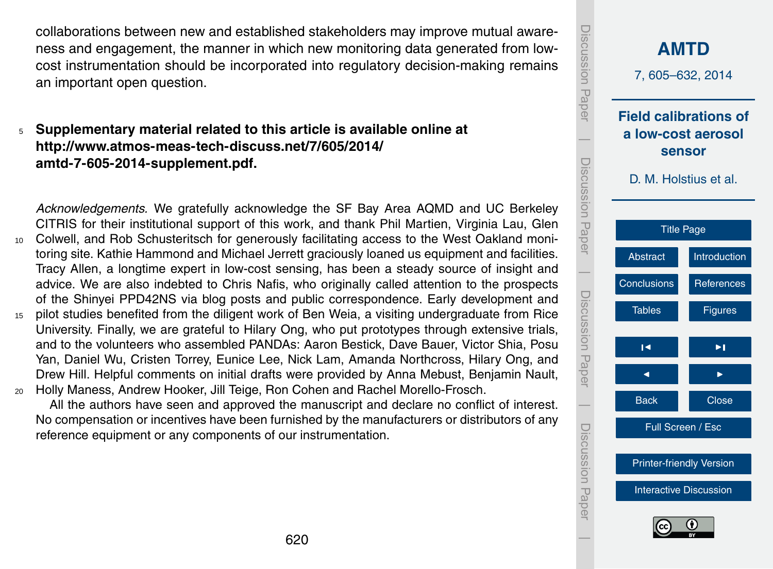collaborations between new and established stakeholders may improve mutual awareness and engagement, the manner in which new monitoring data generated from lowcost instrumentation should be incorporated into regulatory decision-making remains an important open question.

## <sup>5</sup> **Supplementary material related to this article is available online at [http://www.atmos-meas-tech-discuss.net/7/605/2014/](http://www.atmos-meas-tech-discuss.net/7/605/2014/amtd-7-605-2014-supplement.pdf) [amtd-7-605-2014-supplement.pdf.](http://www.atmos-meas-tech-discuss.net/7/605/2014/amtd-7-605-2014-supplement.pdf)**

*Acknowledgements.* We gratefully acknowledge the SF Bay Area AQMD and UC Berkeley CITRIS for their institutional support of this work, and thank Phil Martien, Virginia Lau, Glen <sup>10</sup> Colwell, and Rob Schusteritsch for generously facilitating access to the West Oakland monitoring site. Kathie Hammond and Michael Jerrett graciously loaned us equipment and facilities. Tracy Allen, a longtime expert in low-cost sensing, has been a steady source of insight and advice. We are also indebted to Chris Nafis, who originally called attention to the prospects of the Shinyei PPD42NS via blog posts and public correspondence. Early development and <sup>15</sup> pilot studies benefited from the diligent work of Ben Weia, a visiting undergraduate from Rice

University. Finally, we are grateful to Hilary Ong, who put prototypes through extensive trials, and to the volunteers who assembled PANDAs: Aaron Bestick, Dave Bauer, Victor Shia, Posu Yan, Daniel Wu, Cristen Torrey, Eunice Lee, Nick Lam, Amanda Northcross, Hilary Ong, and Drew Hill. Helpful comments on initial drafts were provided by Anna Mebust, Benjamin Nault, <sup>20</sup> Holly Maness, Andrew Hooker, Jill Teige, Ron Cohen and Rachel Morello-Frosch.

All the authors have seen and approved the manuscript and declare no conflict of interest. No compensation or incentives have been furnished by the manufacturers or distributors of any reference equipment or any components of our instrumentation.

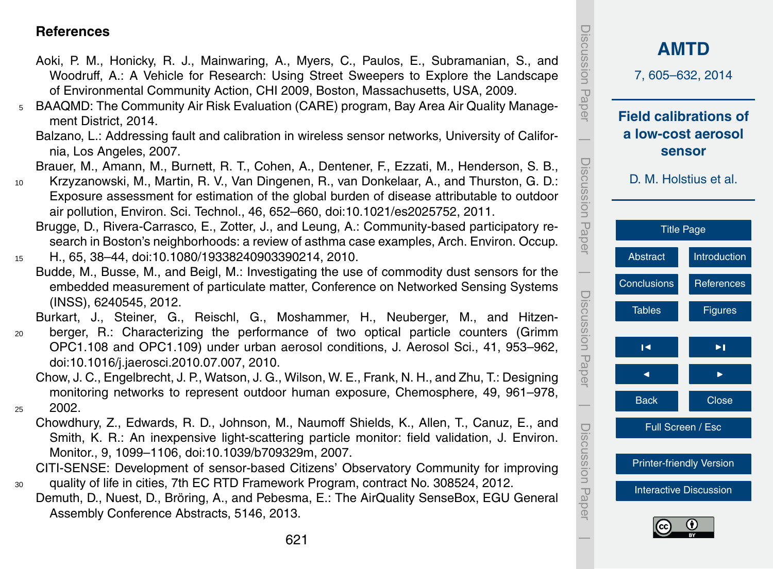#### <span id="page-16-0"></span>**References**

- Aoki, P. M., Honicky, R. J., Mainwaring, A., Myers, C., Paulos, E., Subramanian, S., and Woodruff, A.: A Vehicle for Research: Using Street Sweepers to Explore the Landscape of Environmental Community Action, CHI 2009, Boston, Massachusetts, USA, 2009.
- <sup>5</sup> BAAQMD: The Community Air Risk Evaluation (CARE) program, Bay Area Air Quality Management District, 2014.
	- Balzano, L.: Addressing fault and calibration in wireless sensor networks, University of California, Los Angeles, 2007.

Brauer, M., Amann, M., Burnett, R. T., Cohen, A., Dentener, F., Ezzati, M., Henderson, S. B.,

- <sup>10</sup> Krzyzanowski, M., Martin, R. V., Van Dingenen, R., van Donkelaar, A., and Thurston, G. D.: Exposure assessment for estimation of the global burden of disease attributable to outdoor air pollution, Environ. Sci. Technol., 46, 652–660, doi[:10.1021/es2025752,](http://dx.doi.org/10.1021/es2025752) 2011.
	- Brugge, D., Rivera-Carrasco, E., Zotter, J., and Leung, A.: Community-based participatory research in Boston's neighborhoods: a review of asthma case examples, Arch. Environ. Occup.
- <sup>15</sup> H., 65, 38–44, doi[:10.1080/19338240903390214,](http://dx.doi.org/10.1080/19338240903390214) 2010.
	- Budde, M., Busse, M., and Beigl, M.: Investigating the use of commodity dust sensors for the embedded measurement of particulate matter, Conference on Networked Sensing Systems (INSS), 6240545, 2012.

Burkart, J., Steiner, G., Reischl, G., Moshammer, H., Neuberger, M., and Hitzen-

<sup>20</sup> berger, R.: Characterizing the performance of two optical particle counters (Grimm OPC1.108 and OPC1.109) under urban aerosol conditions, J. Aerosol Sci., 41, 953–962, doi[:10.1016/j.jaerosci.2010.07.007,](http://dx.doi.org/10.1016/j.jaerosci.2010.07.007) 2010.

Chow, J. C., Engelbrecht, J. P., Watson, J. G., Wilson, W. E., Frank, N. H., and Zhu, T.: Designing monitoring networks to represent outdoor human exposure, Chemosphere, 49, 961–978,  $25$  2002.

Chowdhury, Z., Edwards, R. D., Johnson, M., Naumoff Shields, K., Allen, T., Canuz, E., and Smith, K. R.: An inexpensive light-scattering particle monitor: field validation, J. Environ. Monitor., 9, 1099–1106, doi[:10.1039/b709329m,](http://dx.doi.org/10.1039/b709329m) 2007.

CITI-SENSE: Development of sensor-based Citizens' Observatory Community for improving <sup>30</sup> quality of life in cities, 7th EC RTD Framework Program, contract No. 308524, 2012.

Demuth, D., Nuest, D., Bröring, A., and Pebesma, E.: The AirQuality SenseBox, EGU General Assembly Conference Abstracts, 5146, 2013.

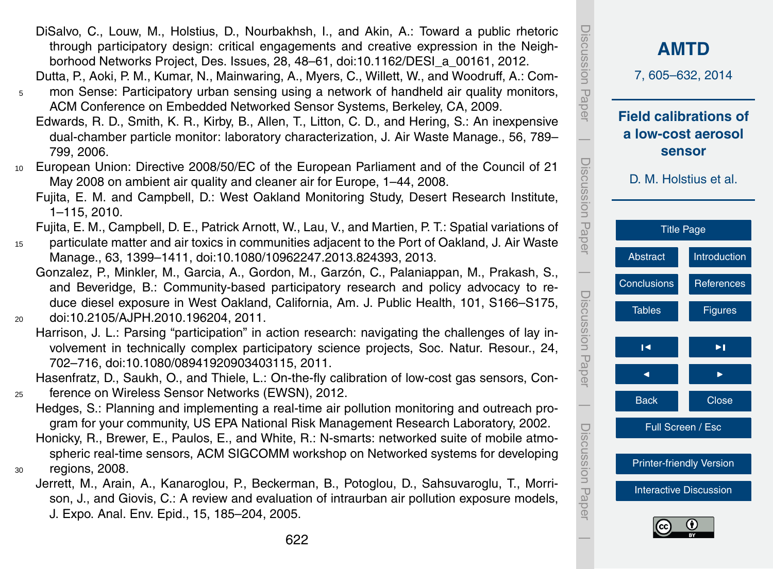- DiSalvo, C., Louw, M., Holstius, D., Nourbakhsh, I., and Akin, A.: Toward a public rhetoric through participatory design: critical engagements and creative expression in the Neighborhood Networks Project, Des. Issues, 28, 48–61, doi[:10.1162/DESI\\_a\\_00161,](http://dx.doi.org/10.1162/DESI_a_00161) 2012.
- Dutta, P., Aoki, P. M., Kumar, N., Mainwaring, A., Myers, C., Willett, W., and Woodruff, A.: Com-<sup>5</sup> mon Sense: Participatory urban sensing using a network of handheld air quality monitors,
	- ACM Conference on Embedded Networked Sensor Systems, Berkeley, CA, 2009.
	- Edwards, R. D., Smith, K. R., Kirby, B., Allen, T., Litton, C. D., and Hering, S.: An inexpensive dual-chamber particle monitor: laboratory characterization, J. Air Waste Manage., 56, 789– 799, 2006.
- <sup>10</sup> European Union: Directive 2008/50/EC of the European Parliament and of the Council of 21 May 2008 on ambient air quality and cleaner air for Europe, 1–44, 2008.
	- Fujita, E. M. and Campbell, D.: West Oakland Monitoring Study, Desert Research Institute, 1–115, 2010.
	- Fujita, E. M., Campbell, D. E., Patrick Arnott, W., Lau, V., and Martien, P. T.: Spatial variations of
- <sup>15</sup> particulate matter and air toxics in communities adjacent to the Port of Oakland, J. Air Waste Manage., 63, 1399–1411, doi[:10.1080/10962247.2013.824393,](http://dx.doi.org/10.1080/10962247.2013.824393) 2013.
- Gonzalez, P., Minkler, M., Garcia, A., Gordon, M., Garzón, C., Palaniappan, M., Prakash, S., and Beveridge, B.: Community-based participatory research and policy advocacy to reduce diesel exposure in West Oakland, California, Am. J. Public Health, 101, S166–S175, <sup>20</sup> doi[:10.2105/AJPH.2010.196204,](http://dx.doi.org/10.2105/AJPH.2010.196204) 2011.
	- Harrison, J. L.: Parsing "participation" in action research: navigating the challenges of lay involvement in technically complex participatory science projects, Soc. Natur. Resour., 24, 702–716, doi[:10.1080/08941920903403115,](http://dx.doi.org/10.1080/08941920903403115) 2011.
- Hasenfratz, D., Saukh, O., and Thiele, L.: On-the-fly calibration of low-cost gas sensors, Con-<sup>25</sup> ference on Wireless Sensor Networks (EWSN), 2012.
	- Hedges, S.: Planning and implementing a real-time air pollution monitoring and outreach program for your community, US EPA National Risk Management Research Laboratory, 2002. Honicky, R., Brewer, E., Paulos, E., and White, R.: N-smarts: networked suite of mobile atmospheric real-time sensors, ACM SIGCOMM workshop on Networked systems for developing
- <sup>30</sup> regions, 2008.
	- Jerrett, M., Arain, A., Kanaroglou, P., Beckerman, B., Potoglou, D., Sahsuvaroglu, T., Morrison, J., and Giovis, C.: A review and evaluation of intraurban air pollution exposure models, J. Expo. Anal. Env. Epid., 15, 185–204, 2005.

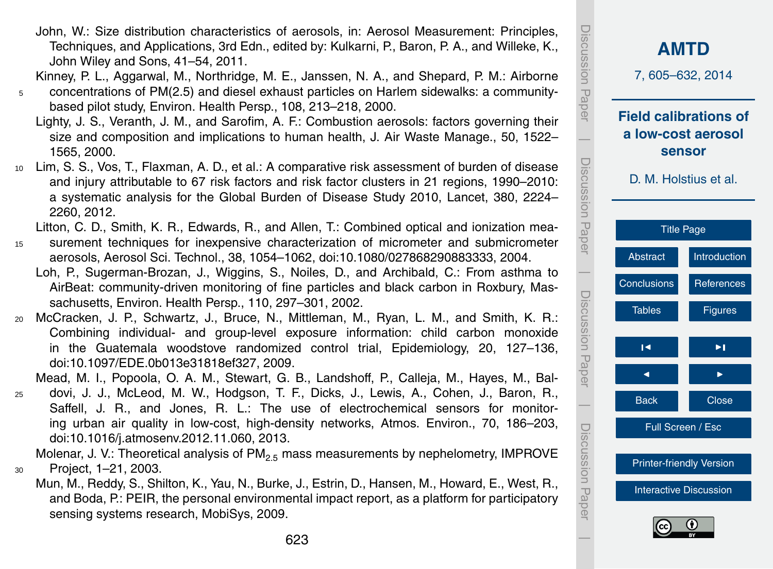623

- John, W.: Size distribution characteristics of aerosols, in: Aerosol Measurement: Principles, Techniques, and Applications, 3rd Edn., edited by: Kulkarni, P., Baron, P. A., and Willeke, K., John Wiley and Sons, 41–54, 2011.
- Kinney, P. L., Aggarwal, M., Northridge, M. E., Janssen, N. A., and Shepard, P. M.: Airborne <sup>5</sup> concentrations of PM(2.5) and diesel exhaust particles on Harlem sidewalks: a community
	- based pilot study, Environ. Health Persp., 108, 213–218, 2000. Lighty, J. S., Veranth, J. M., and Sarofim, A. F.: Combustion aerosols: factors governing their size and composition and implications to human health, J. Air Waste Manage., 50, 1522– 1565, 2000.
- <sup>10</sup> Lim, S. S., Vos, T., Flaxman, A. D., et al.: A comparative risk assessment of burden of disease and injury attributable to 67 risk factors and risk factor clusters in 21 regions, 1990–2010: a systematic analysis for the Global Burden of Disease Study 2010, Lancet, 380, 2224– 2260, 2012.

Litton, C. D., Smith, K. R., Edwards, R., and Allen, T.: Combined optical and ionization mea-

- <sup>15</sup> surement techniques for inexpensive characterization of micrometer and submicrometer aerosols, Aerosol Sci. Technol., 38, 1054–1062, doi[:10.1080/027868290883333,](http://dx.doi.org/10.1080/027868290883333) 2004.
	- Loh, P., Sugerman-Brozan, J., Wiggins, S., Noiles, D., and Archibald, C.: From asthma to AirBeat: community-driven monitoring of fine particles and black carbon in Roxbury, Massachusetts, Environ. Health Persp., 110, 297–301, 2002.
- <sup>20</sup> McCracken, J. P., Schwartz, J., Bruce, N., Mittleman, M., Ryan, L. M., and Smith, K. R.: Combining individual- and group-level exposure information: child carbon monoxide in the Guatemala woodstove randomized control trial, Epidemiology, 20, 127–136, doi[:10.1097/EDE.0b013e31818ef327,](http://dx.doi.org/10.1097/EDE.0b013e31818ef327) 2009.

Mead, M. I., Popoola, O. A. M., Stewart, G. B., Landshoff, P., Calleja, M., Hayes, M., Bal-

<sup>25</sup> dovi, J. J., McLeod, M. W., Hodgson, T. F., Dicks, J., Lewis, A., Cohen, J., Baron, R., Saffell, J. R., and Jones, R. L.: The use of electrochemical sensors for monitoring urban air quality in low-cost, high-density networks, Atmos. Environ., 70, 186–203, doi[:10.1016/j.atmosenv.2012.11.060,](http://dx.doi.org/10.1016/j.atmosenv.2012.11.060) 2013.

Molenar, J. V.: Theoretical analysis of  $PM_{2.5}$  mass measurements by nephelometry, IMPROVE <sup>30</sup> Project, 1–21, 2003.

Mun, M., Reddy, S., Shilton, K., Yau, N., Burke, J., Estrin, D., Hansen, M., Howard, E., West, R., and Boda, P.: PEIR, the personal environmental impact report, as a platform for participatory sensing systems research, MobiSys, 2009.

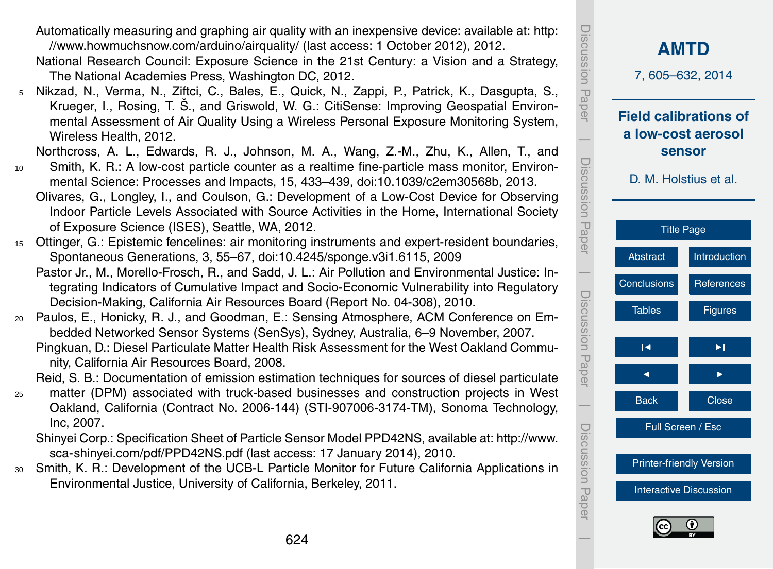nity, California Air Resources Board, 2008.

Spontaneous Generations, 3, 55–67, doi[:10.4245/sponge.v3i1.6115,](http://dx.doi.org/10.4245/sponge.v3i1.6115) 2009

Decision-Making, California Air Resources Board (Report No. 04-308), 2010.

[//www.howmuchsnow.com/arduino/airquality/](http://www.howmuchsnow.com/arduino/airquality/) (last access: 1 October 2012), 2012.

The National Academies Press, Washington DC, 2012.

of Exposure Science (ISES), Seattle, WA, 2012.

Wireless Health, 2012.

Reid, S. B.: Documentation of emission estimation techniques for sources of diesel particulate

- <sup>25</sup> matter (DPM) associated with truck-based businesses and construction projects in West Oakland, California (Contract No. 2006-144) (STI-907006-3174-TM), Sonoma Technology, Inc, 2007.
	- [S](http://www.sca-shinyei.com/pdf/PPD42NS.pdf)hinyei Corp.: Specification Sheet of Particle Sensor Model PPD42NS, available at: [http://www.](http://www.sca-shinyei.com/pdf/PPD42NS.pdf) [sca-shinyei.com/pdf/PPD42NS.pdf](http://www.sca-shinyei.com/pdf/PPD42NS.pdf) (last access: 17 January 2014), 2010.
- <sup>30</sup> Smith, K. R.: Development of the UCB-L Particle Monitor for Future California Applications in Environmental Justice, University of California, Berkeley, 2011.



 $\overline{\phantom{a}}$ 

[Interactive Discussion](http://www.atmos-meas-tech-discuss.net/7/605/2014/amtd-7-605-2014-discussion.html)

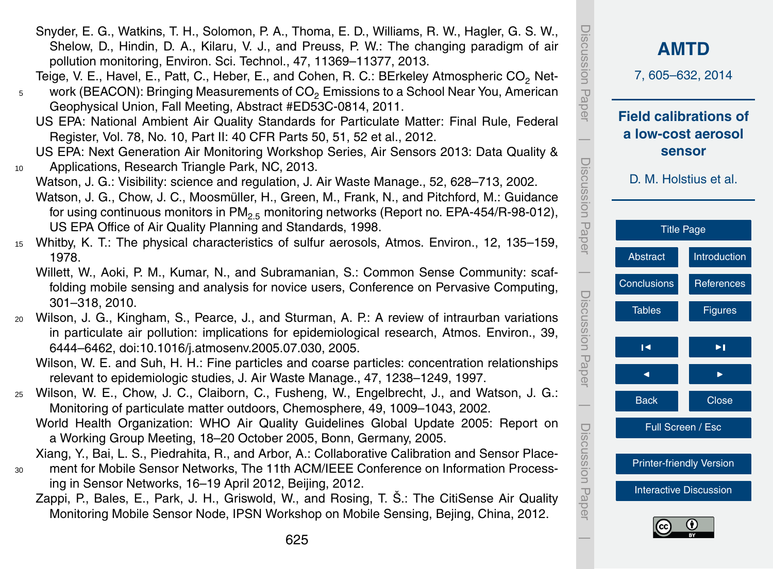625

Snyder, E. G., Watkins, T. H., Solomon, P. A., Thoma, E. D., Williams, R. W., Hagler, G. S. W., Shelow, D., Hindin, D. A., Kilaru, V. J., and Preuss, P. W.: The changing paradigm of air pollution monitoring, Environ. Sci. Technol., 47, 11369–11377, 2013.

Teige, V. E., Havel, E., Patt, C., Heber, E., and Cohen, R. C.: BErkeley Atmospheric CO<sub>2</sub> Net- $5$  work (BEACON): Bringing Measurements of  $CO<sub>2</sub>$  Emissions to a School Near You, American

Geophysical Union, Fall Meeting, Abstract #ED53C-0814, 2011.

US EPA: National Ambient Air Quality Standards for Particulate Matter: Final Rule, Federal Register, Vol. 78, No. 10, Part II: 40 CFR Parts 50, 51, 52 et al., 2012.

US EPA: Next Generation Air Monitoring Workshop Series, Air Sensors 2013: Data Quality & 10 Applications, Research Triangle Park, NC, 2013.

Watson, J. G.: Visibility: science and regulation, J. Air Waste Manage., 52, 628–713, 2002. Watson, J. G., Chow, J. C., Moosmüller, H., Green, M., Frank, N., and Pitchford, M.: Guidance for using continuous monitors in  $PM_{2.5}$  monitoring networks (Report no. EPA-454/R-98-012), US EPA Office of Air Quality Planning and Standards, 1998.

- <sup>15</sup> Whitby, K. T.: The physical characteristics of sulfur aerosols, Atmos. Environ., 12, 135–159, 1978.
	- Willett, W., Aoki, P. M., Kumar, N., and Subramanian, S.: Common Sense Community: scaffolding mobile sensing and analysis for novice users, Conference on Pervasive Computing, 301–318, 2010.
- <sup>20</sup> Wilson, J. G., Kingham, S., Pearce, J., and Sturman, A. P.: A review of intraurban variations in particulate air pollution: implications for epidemiological research, Atmos. Environ., 39, 6444–6462, doi[:10.1016/j.atmosenv.2005.07.030,](http://dx.doi.org/10.1016/j.atmosenv.2005.07.030) 2005.

Wilson, W. E. and Suh, H. H.: Fine particles and coarse particles: concentration relationships relevant to epidemiologic studies, J. Air Waste Manage., 47, 1238–1249, 1997.

- <sup>25</sup> Wilson, W. E., Chow, J. C., Claiborn, C., Fusheng, W., Engelbrecht, J., and Watson, J. G.: Monitoring of particulate matter outdoors, Chemosphere, 49, 1009–1043, 2002.
	- World Health Organization: WHO Air Quality Guidelines Global Update 2005: Report on a Working Group Meeting, 18–20 October 2005, Bonn, Germany, 2005.

Xiang, Y., Bai, L. S., Piedrahita, R., and Arbor, A.: Collaborative Calibration and Sensor Place-<sup>30</sup> ment for Mobile Sensor Networks, The 11th ACM/IEEE Conference on Information Process-

- ing in Sensor Networks, 16–19 April 2012, Beijing, 2012.
	- Zappi, P., Bales, E., Park, J. H., Griswold, W., and Rosing, T. Š.: The CitiSense Air Quality Monitoring Mobile Sensor Node, IPSN Workshop on Mobile Sensing, Bejing, China, 2012.



Discussion Paper

**CUS UOISS**  $B<sub>G</sub>$ per

 $\overline{\phantom{a}}$ 

Discussion Paper

Discussion

 $\overline{\phantom{a}}$ 

Discussion Paper

Discussion Paper

 $\overline{\phantom{a}}$ 

Discussion Paper

 $\overline{\phantom{a}}$ 

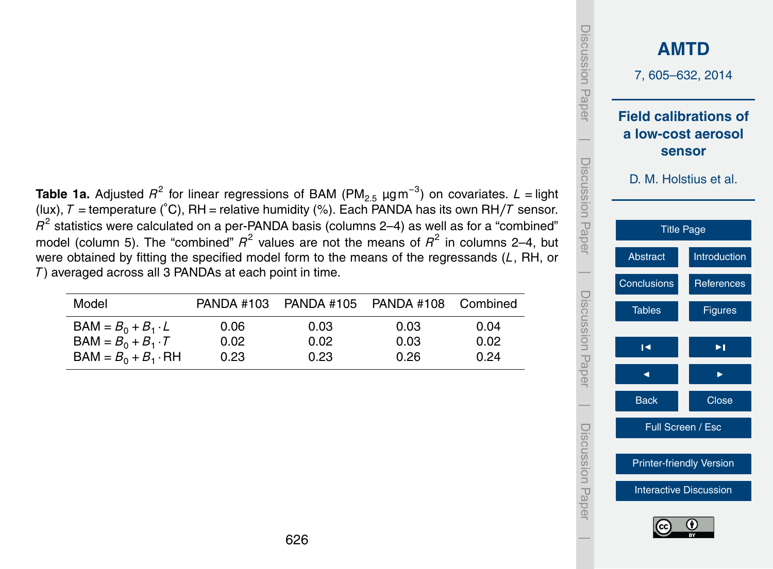<span id="page-21-0"></span>**Table 1a.** Adjusted  $R^2$  for linear regressions of BAM (PM<sub>2.5</sub>  $\mu$ gm<sup>−3</sup>) on covariates. *L* = light (lux), *T* = temperature (◦C), RH = relative humidity (%). Each PANDA has its own RH*/T* sensor.  $\mathit{R}^{2}$  statistics were calculated on a per-PANDA basis (columns 2–4) as well as for a "combined" model (column 5). The "combined"  $R^2$  values are not the means of  $R^2$  in columns 2–4, but were obtained by fitting the specified model form to the means of the regressands (*L*, RH, or *T* ) averaged across all 3 PANDAs at each point in time.

| Model                      |      | PANDA #103 PANDA #105 | PANDA #108 Combined |      |
|----------------------------|------|-----------------------|---------------------|------|
| $BAM = B_0 + B_1 \cdot L$  | 0.06 | 0.03                  | 0.03                | 0.04 |
| $BAM = B_0 + B_1 \cdot T$  | 0.02 | 0.02                  | 0.03                | 0.02 |
| $BAM = B_0 + B_1 \cdot RH$ | 0.23 | 0.23                  | 0.26                | 0.24 |

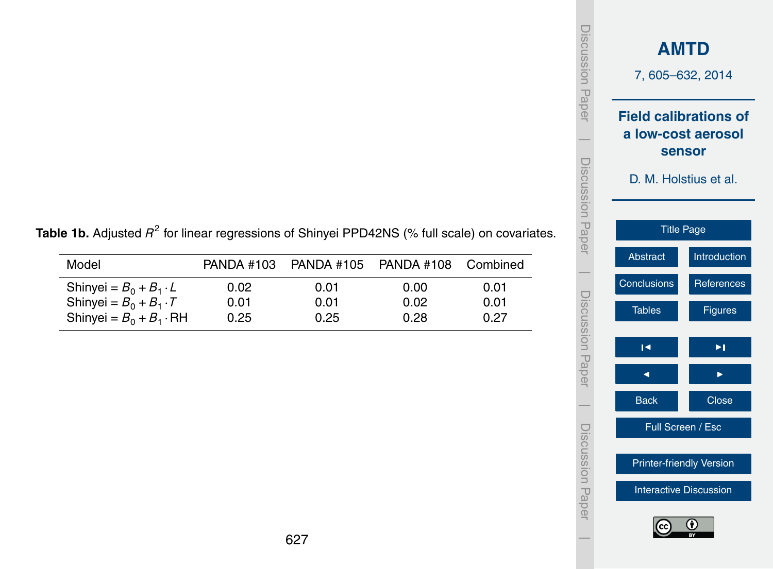| Discussion Paper      | <b>AMTD</b><br>7,605-632,2014                                                         |                               |  |  |  |  |  |  |
|-----------------------|---------------------------------------------------------------------------------------|-------------------------------|--|--|--|--|--|--|
| I<br>I<br>Paper Paper | <b>Field calibrations of</b><br>a low-cost aerosol<br>sensor<br>D. M. Holstius et al. |                               |  |  |  |  |  |  |
|                       |                                                                                       | <b>Title Page</b>             |  |  |  |  |  |  |
|                       | <b>Abstract</b>                                                                       | Introduction                  |  |  |  |  |  |  |
|                       | Conclusions                                                                           | References                    |  |  |  |  |  |  |
| Discussion Paper      | <b>Tables</b>                                                                         | <b>Figures</b>                |  |  |  |  |  |  |
|                       | Н                                                                                     | ▶∣                            |  |  |  |  |  |  |
|                       | ◀                                                                                     |                               |  |  |  |  |  |  |
|                       | <b>Back</b>                                                                           | Close                         |  |  |  |  |  |  |
| Discussion Papel      | Full Screen / Esc                                                                     |                               |  |  |  |  |  |  |
|                       | <b>Printer-friendly Version</b>                                                       |                               |  |  |  |  |  |  |
|                       |                                                                                       | <b>Interactive Discussion</b> |  |  |  |  |  |  |
|                       | (cc                                                                                   | 0                             |  |  |  |  |  |  |

**Table 1b.** Adjusted  $R^2$  for linear regressions of Shinyei PPD42NS (% full scale) on covariates.

| Model                                                          | PANDA #103   | PANDA #105 PANDA #108 |              | Combined     |
|----------------------------------------------------------------|--------------|-----------------------|--------------|--------------|
| Shinyei = $B_0 + B_1 \cdot L$<br>Shinyei = $B_0 + B_1 \cdot T$ | 0.02<br>0.01 | 0.01<br>0.01          | 0.00<br>0.02 | 0.01<br>0.01 |
| Shinyei = $B_0 + B_1 \cdot \text{RH}$                          | 0.25         | 0.25                  | 0.28         | 0.27         |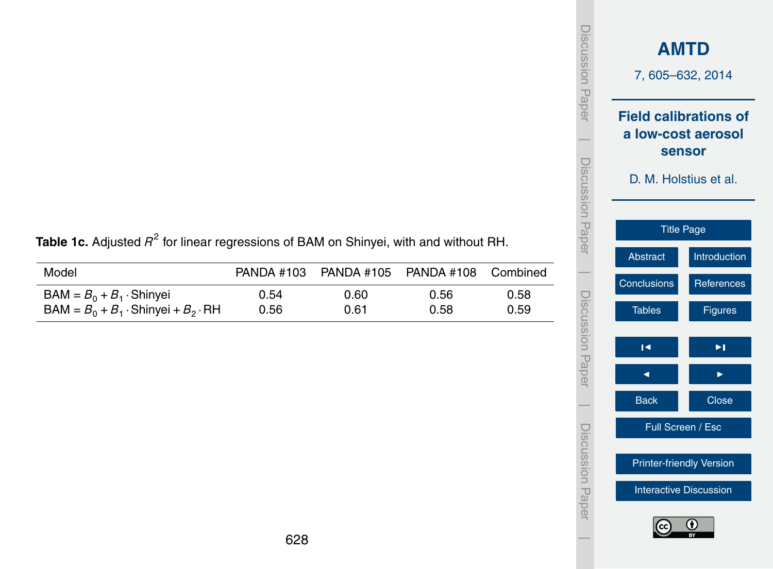| iscussion<br>Paper | <b>AMTD</b><br>7,605-632,2014                                                                |                |  |  |  |  |  |  |  |  |
|--------------------|----------------------------------------------------------------------------------------------|----------------|--|--|--|--|--|--|--|--|
| Discussion Paper   | <b>Field calibrations of</b><br>a low-cost aerosol<br><b>sensor</b><br>D. M. Holstius et al. |                |  |  |  |  |  |  |  |  |
|                    | <b>Title Page</b>                                                                            |                |  |  |  |  |  |  |  |  |
|                    | Abstract                                                                                     | Introduction   |  |  |  |  |  |  |  |  |
|                    | Conclusions                                                                                  | References     |  |  |  |  |  |  |  |  |
| Discussion Paper   | <b>Tables</b>                                                                                | <b>Figures</b> |  |  |  |  |  |  |  |  |
|                    | R                                                                                            | ⋝              |  |  |  |  |  |  |  |  |
|                    |                                                                                              |                |  |  |  |  |  |  |  |  |
|                    | <b>Back</b>                                                                                  | <b>Close</b>   |  |  |  |  |  |  |  |  |
| Discussion Paper   | Full Screen / Esc                                                                            |                |  |  |  |  |  |  |  |  |
|                    | <b>Printer-friendly Version</b>                                                              |                |  |  |  |  |  |  |  |  |
|                    | <b>Interactive Discussion</b>                                                                |                |  |  |  |  |  |  |  |  |
|                    | (cc                                                                                          | Œ              |  |  |  |  |  |  |  |  |

|  |  | Table 1c. Adjusted $R^2$ for linear regressions of BAM on Shinyei, with and without RH. |  |  |  |  |
|--|--|-----------------------------------------------------------------------------------------|--|--|--|--|
|  |  |                                                                                         |  |  |  |  |

| Model                                            |      | PANDA #103 PANDA #105 PANDA #108 Combined |      |      |
|--------------------------------------------------|------|-------------------------------------------|------|------|
| $BAM = B_0 + B_1 \cdot$ Shinyei                  | 0.54 | 0.60                                      | 0.56 | 0.58 |
| $BAM = B_0 + B_1 \cdot$ Shinyei + $B_2 \cdot RH$ | 0.56 | 0.61                                      | 0.58 | 0.59 |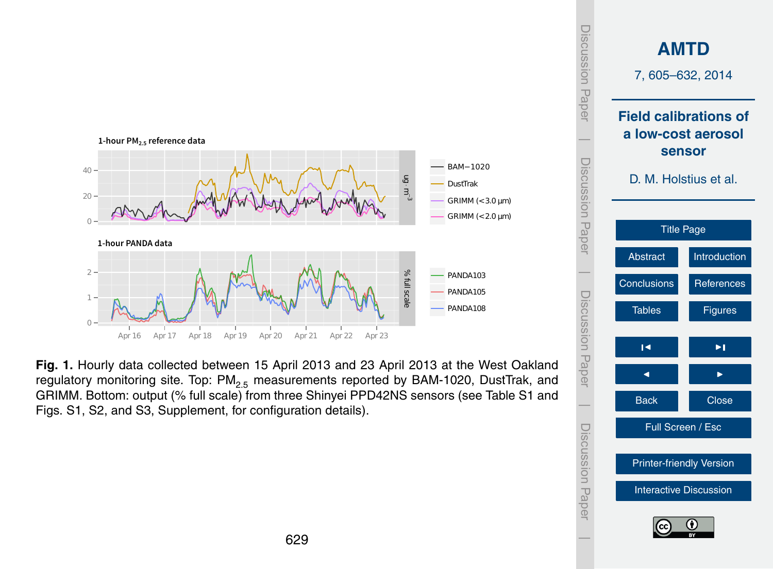<span id="page-24-0"></span>

**Fig. 1.** Hourly data collected between 15 April 2013 and 23 April 2013 at the West Oakland regulatory monitoring site. Top: PM<sub>2.5</sub> measurements reported by BAM-1020, DustTrak, and GRIMM. Bottom: output (% full scale) from three Shinyei PPD42NS sensors (see Table S1 and Figs. S1, S2, and S3, Supplement, for configuration details).

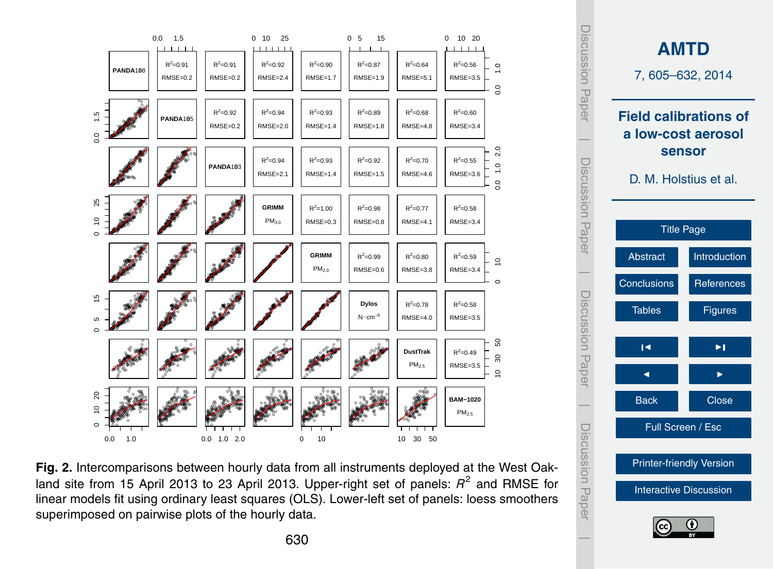



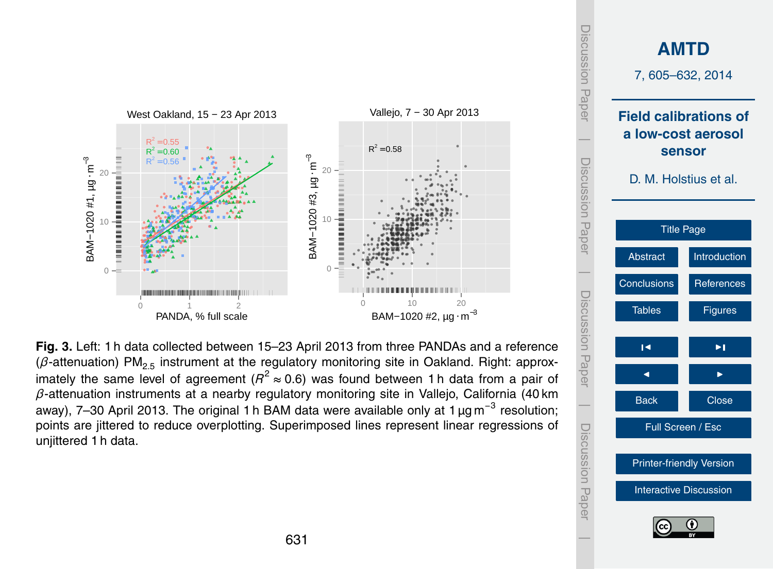

**Fig. 3.** Left: 1 h data collected between 15–23 April 2013 from three PANDAs and a reference (*β*-attenuation) PM<sub>2.5</sub> instrument at the regulatory monitoring site in Oakland. Right: approximately the same level of agreement ( $R^2 \approx 0.6$ ) was found between 1 h data from a pair of *β*-attenuation instruments at a nearby regulatory monitoring site in Vallejo, California (40 km away), 7–30 April 2013. The original 1 h BAM data were available only at 1  $\mu$ g m<sup>−3</sup> resolution; points are jittered to reduce overplotting. Superimposed lines represent linear regressions of uniittered 1 h data.